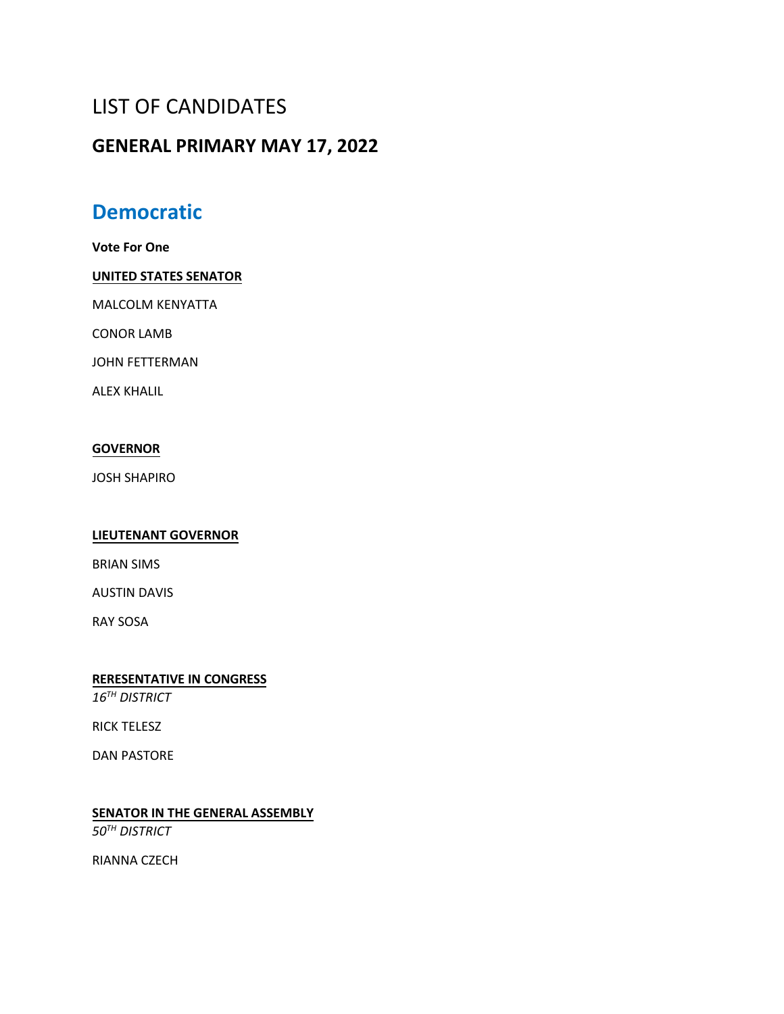# LIST OF CANDIDATES

## **GENERAL PRIMARY MAY 17, 2022**

## **Democratic**

**Vote For One**

### **UNITED STATES SENATOR**

MALCOLM KENYATTA

CONOR LAMB

JOHN FETTERMAN

ALEX KHALIL

### **GOVERNOR**

JOSH SHAPIRO

### **LIEUTENANT GOVERNOR**

BRIAN SIMS

AUSTIN DAVIS

RAY SOSA

**RERESENTATIVE IN CONGRESS** *16TH DISTRICT* 

RICK TELESZ

DAN PASTORE

**SENATOR IN THE GENERAL ASSEMBLY**

*50TH DISTRICT* 

RIANNA CZECH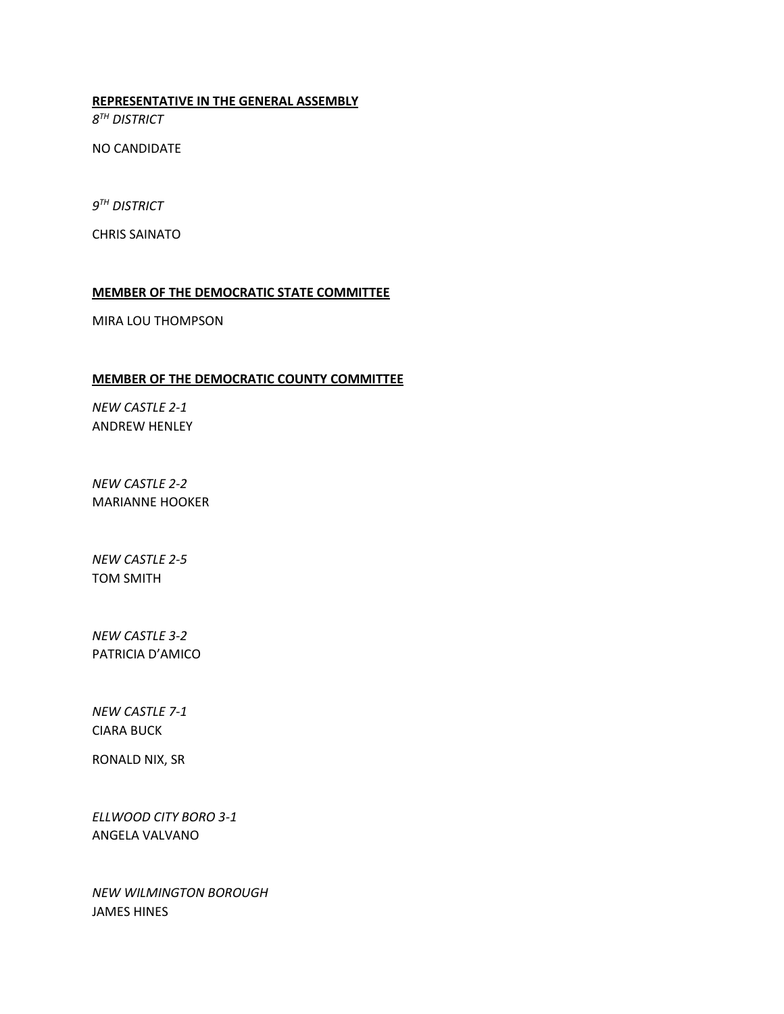**REPRESENTATIVE IN THE GENERAL ASSEMBLY**

*8 TH DISTRICT*

NO CANDIDATE

*9 TH DISTRICT*

CHRIS SAINATO

### **MEMBER OF THE DEMOCRATIC STATE COMMITTEE**

MIRA LOU THOMPSON

### **MEMBER OF THE DEMOCRATIC COUNTY COMMITTEE**

*NEW CASTLE 2-1*  ANDREW HENLEY

*NEW CASTLE 2-2*  MARIANNE HOOKER

*NEW CASTLE 2-5*  TOM SMITH

*NEW CASTLE 3-2*  PATRICIA D'AMICO

*NEW CASTLE 7-1*  CIARA BUCK

RONALD NIX, SR

*ELLWOOD CITY BORO 3-1*  ANGELA VALVANO

*NEW WILMINGTON BOROUGH* JAMES HINES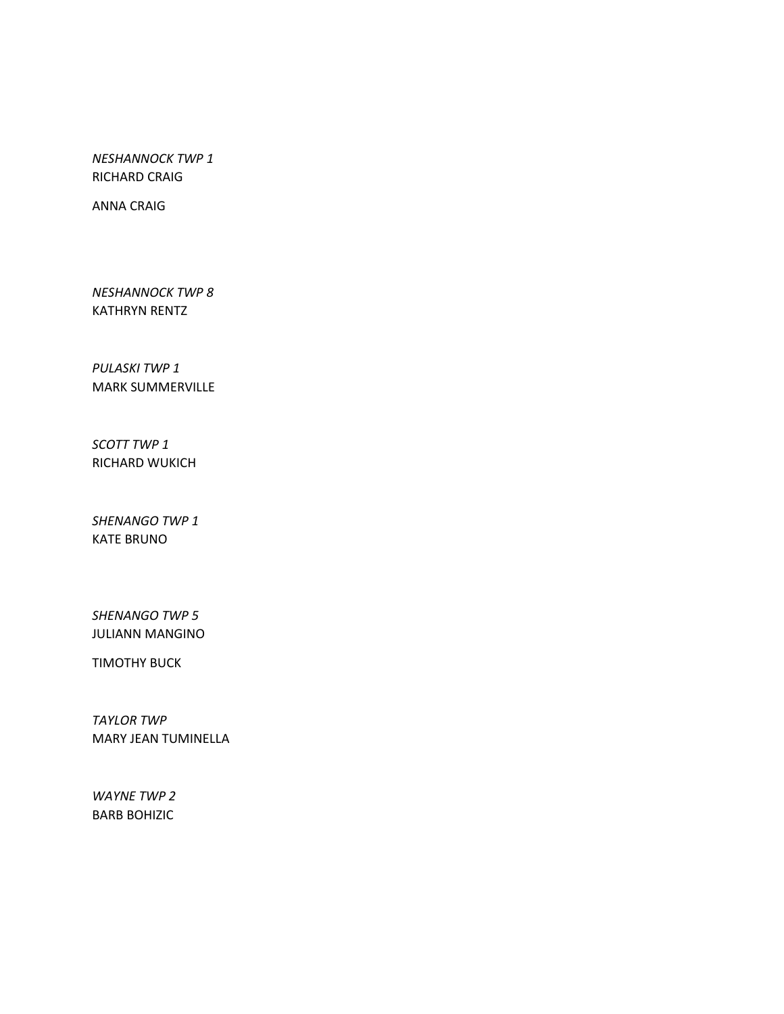*NESHANNOCK TWP 1* RICHARD CRAIG

ANNA CRAIG

*NESHANNOCK TWP 8*  KATHRYN RENTZ

*PULASKI TWP 1* MARK SUMMERVILLE

*SCOTT TWP 1* RICHARD WUKICH

*SHENANGO TWP 1* KATE BRUNO

*SHENANGO TWP 5*  JULIANN MANGINO

TIMOTHY BUCK

*TAYLOR TWP* MARY JEAN TUMINELLA

*WAYNE TWP 2* BARB BOHIZIC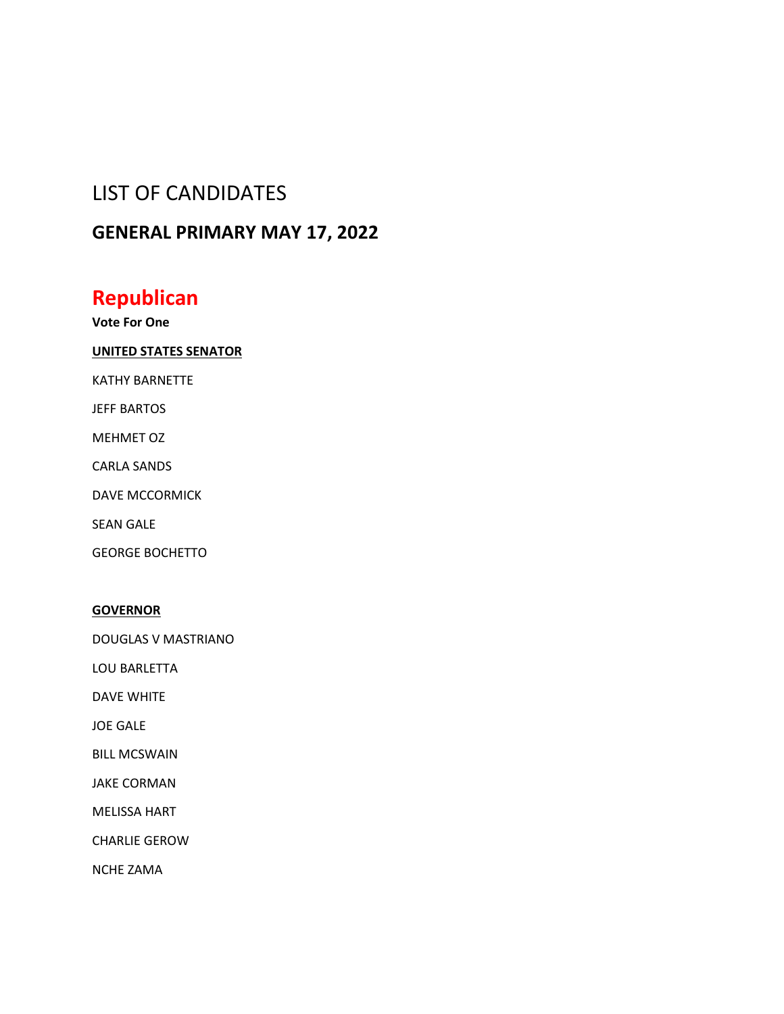## LIST OF CANDIDATES

## **GENERAL PRIMARY MAY 17, 2022**

## **Republican**

**Vote For One**

### **UNITED STATES SENATOR**

KATHY BARNETTE

JEFF BARTOS

MEHMET OZ

CARLA SANDS

DAVE MCCORMICK

SEAN GALE

GEORGE BOCHETTO

### **GOVERNOR**

DOUGLAS V MASTRIANO

LOU BARLETTA

DAVE WHITE

JOE GALE

BILL MCSWAIN

JAKE CORMAN

MELISSA HART

CHARLIE GEROW

NCHE ZAMA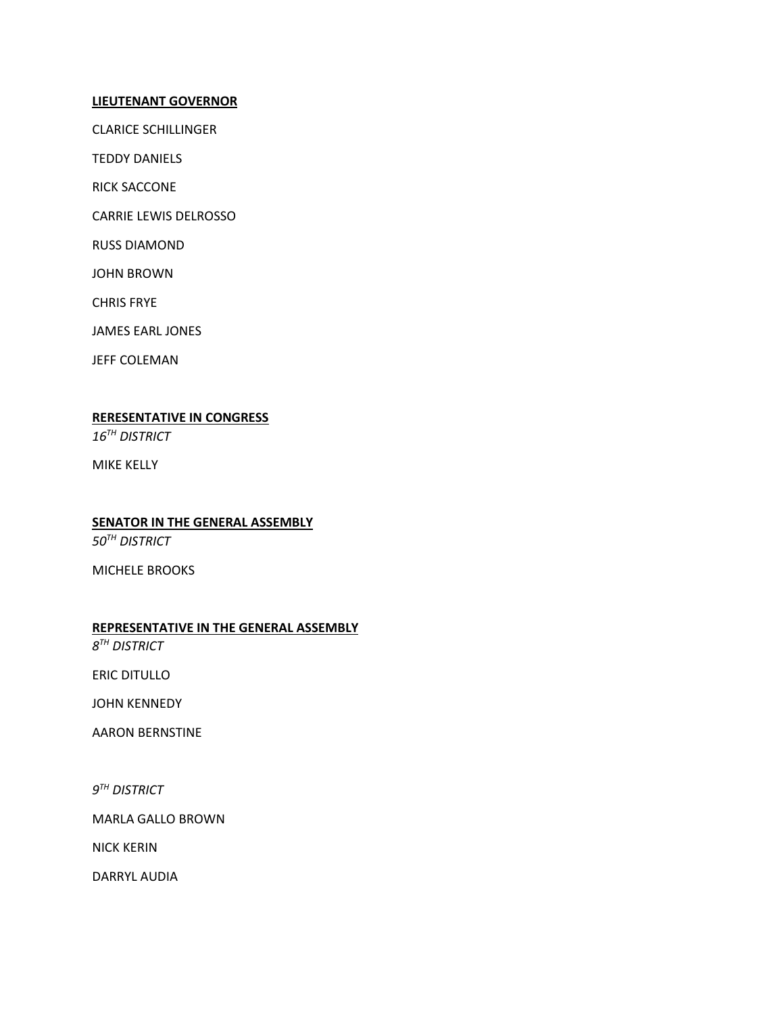#### **LIEUTENANT GOVERNOR**

CLARICE SCHILLINGER

TEDDY DANIELS

RICK SACCONE

CARRIE LEWIS DELROSSO

RUSS DIAMOND

JOHN BROWN

CHRIS FRYE

JAMES EARL JONES

JEFF COLEMAN

### **RERESENTATIVE IN CONGRESS**

*16TH DISTRICT*

MIKE KELLY

### **SENATOR IN THE GENERAL ASSEMBLY**

*50TH DISTRICT*

MICHELE BROOKS

### **REPRESENTATIVE IN THE GENERAL ASSEMBLY**

*8 TH DISTRICT*

ERIC DITULLO

JOHN KENNEDY

AARON BERNSTINE

*9 TH DISTRICT*

MARLA GALLO BROWN

NICK KERIN

DARRYL AUDIA